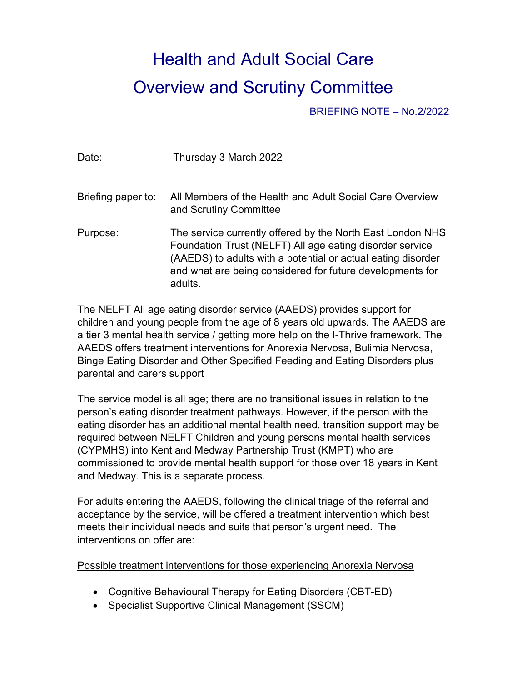## Health and Adult Social Care Overview and Scrutiny Committee

BRIEFING NOTE – No.2/2022

| Date:              | Thursday 3 March 2022                                                                                                                                                                                                                                          |
|--------------------|----------------------------------------------------------------------------------------------------------------------------------------------------------------------------------------------------------------------------------------------------------------|
| Briefing paper to: | All Members of the Health and Adult Social Care Overview<br>and Scrutiny Committee                                                                                                                                                                             |
| Purpose:           | The service currently offered by the North East London NHS<br>Foundation Trust (NELFT) All age eating disorder service<br>(AAEDS) to adults with a potential or actual eating disorder<br>and what are being considered for future developments for<br>adults. |

The NELFT All age eating disorder service (AAEDS) provides support for children and young people from the age of 8 years old upwards. The AAEDS are a tier 3 mental health service / getting more help on the I-Thrive framework. The AAEDS offers treatment interventions for Anorexia Nervosa, Bulimia Nervosa, Binge Eating Disorder and Other Specified Feeding and Eating Disorders plus parental and carers support

The service model is all age; there are no transitional issues in relation to the person's eating disorder treatment pathways. However, if the person with the eating disorder has an additional mental health need, transition support may be required between NELFT Children and young persons mental health services (CYPMHS) into Kent and Medway Partnership Trust (KMPT) who are commissioned to provide mental health support for those over 18 years in Kent and Medway. This is a separate process.

For adults entering the AAEDS, following the clinical triage of the referral and acceptance by the service, will be offered a treatment intervention which best meets their individual needs and suits that person's urgent need. The interventions on offer are:

Possible treatment interventions for those experiencing Anorexia Nervosa

- Cognitive Behavioural Therapy for Eating Disorders (CBT-ED)
- Specialist Supportive Clinical Management (SSCM)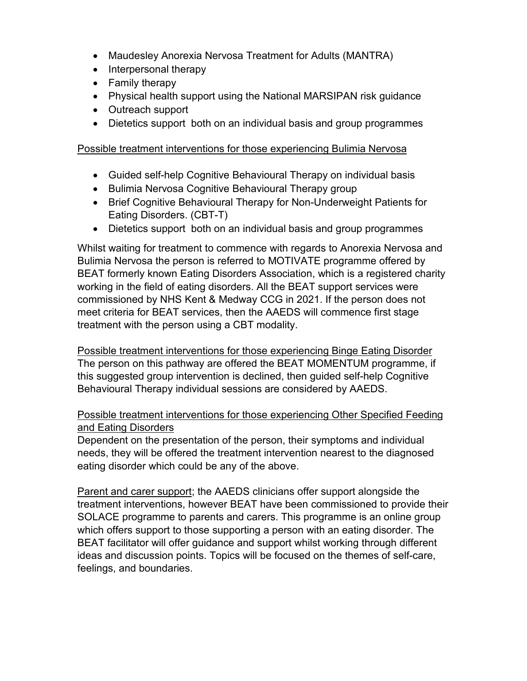- Maudesley Anorexia Nervosa Treatment for Adults (MANTRA)
- Interpersonal therapy
- Family therapy
- Physical health support using the National MARSIPAN risk guidance
- Outreach support
- Dietetics support both on an individual basis and group programmes

## Possible treatment interventions for those experiencing Bulimia Nervosa

- Guided self-help Cognitive Behavioural Therapy on individual basis
- Bulimia Nervosa Cognitive Behavioural Therapy group
- Brief Cognitive Behavioural Therapy for Non-Underweight Patients for Eating Disorders. (CBT-T)
- Dietetics support both on an individual basis and group programmes

Whilst waiting for treatment to commence with regards to Anorexia Nervosa and Bulimia Nervosa the person is referred to MOTIVATE programme offered by BEAT formerly known Eating Disorders Association, which is a registered charity working in the field of eating disorders. All the BEAT support services were commissioned by NHS Kent & Medway CCG in 2021. If the person does not meet criteria for BEAT services, then the AAEDS will commence first stage treatment with the person using a CBT modality.

Possible treatment interventions for those experiencing Binge Eating Disorder The person on this pathway are offered the BEAT MOMENTUM programme, if this suggested group intervention is declined, then guided self-help Cognitive Behavioural Therapy individual sessions are considered by AAEDS.

## Possible treatment interventions for those experiencing Other Specified Feeding and Eating Disorders

Dependent on the presentation of the person, their symptoms and individual needs, they will be offered the treatment intervention nearest to the diagnosed eating disorder which could be any of the above.

Parent and carer support; the AAEDS clinicians offer support alongside the treatment interventions, however BEAT have been commissioned to provide their SOLACE programme to parents and carers. This programme is an online group which offers support to those supporting a person with an eating disorder. The BEAT facilitator will offer guidance and support whilst working through different ideas and discussion points. Topics will be focused on the themes of self-care, feelings, and boundaries.